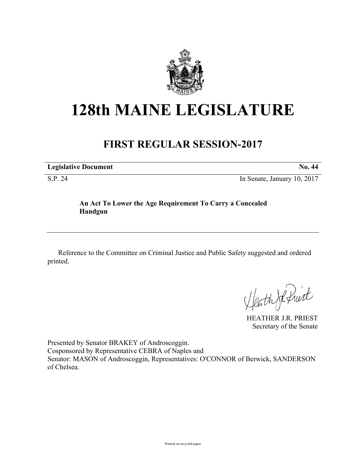

# **128th MAINE LEGISLATURE**

# **FIRST REGULAR SESSION-2017**

**Legislative Document No. 44** S.P. 24 In Senate, January 10, 2017

## **An Act To Lower the Age Requirement To Carry a Concealed Handgun**

Reference to the Committee on Criminal Justice and Public Safety suggested and ordered printed.

Heath Je Print

HEATHER J.R. PRIEST Secretary of the Senate

Presented by Senator BRAKEY of Androscoggin. Cosponsored by Representative CEBRA of Naples and Senator: MASON of Androscoggin, Representatives: O'CONNOR of Berwick, SANDERSON of Chelsea.